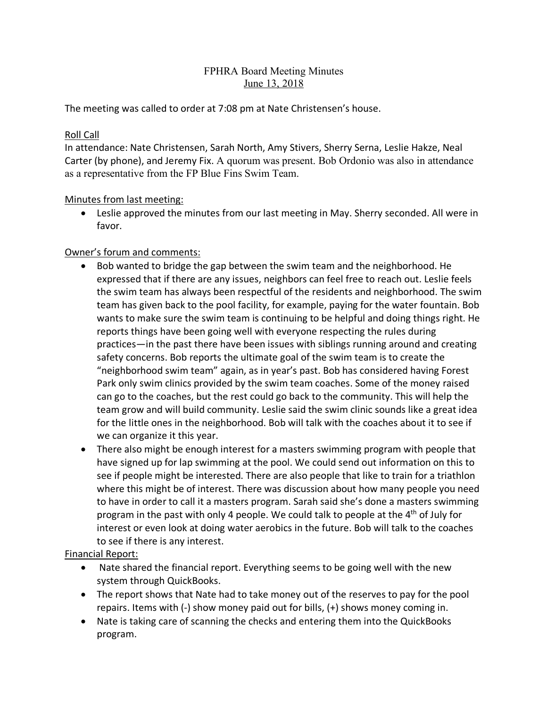### FPHRA Board Meeting Minutes June 13, 2018

The meeting was called to order at 7:08 pm at Nate Christensen's house.

### Roll Call

In attendance: Nate Christensen, Sarah North, Amy Stivers, Sherry Serna, Leslie Hakze, Neal Carter (by phone), and Jeremy Fix. A quorum was present. Bob Ordonio was also in attendance as a representative from the FP Blue Fins Swim Team.

# Minutes from last meeting:

• Leslie approved the minutes from our last meeting in May. Sherry seconded. All were in favor.

# Owner's forum and comments:

- Bob wanted to bridge the gap between the swim team and the neighborhood. He expressed that if there are any issues, neighbors can feel free to reach out. Leslie feels the swim team has always been respectful of the residents and neighborhood. The swim team has given back to the pool facility, for example, paying for the water fountain. Bob wants to make sure the swim team is continuing to be helpful and doing things right. He reports things have been going well with everyone respecting the rules during practices—in the past there have been issues with siblings running around and creating safety concerns. Bob reports the ultimate goal of the swim team is to create the "neighborhood swim team" again, as in year's past. Bob has considered having Forest Park only swim clinics provided by the swim team coaches. Some of the money raised can go to the coaches, but the rest could go back to the community. This will help the team grow and will build community. Leslie said the swim clinic sounds like a great idea for the little ones in the neighborhood. Bob will talk with the coaches about it to see if we can organize it this year.
- There also might be enough interest for a masters swimming program with people that have signed up for lap swimming at the pool. We could send out information on this to see if people might be interested. There are also people that like to train for a triathlon where this might be of interest. There was discussion about how many people you need to have in order to call it a masters program. Sarah said she's done a masters swimming program in the past with only 4 people. We could talk to people at the  $4<sup>th</sup>$  of July for interest or even look at doing water aerobics in the future. Bob will talk to the coaches to see if there is any interest.

### Financial Report:

- Nate shared the financial report. Everything seems to be going well with the new system through QuickBooks.
- The report shows that Nate had to take money out of the reserves to pay for the pool repairs. Items with (-) show money paid out for bills, (+) shows money coming in.
- Nate is taking care of scanning the checks and entering them into the QuickBooks program.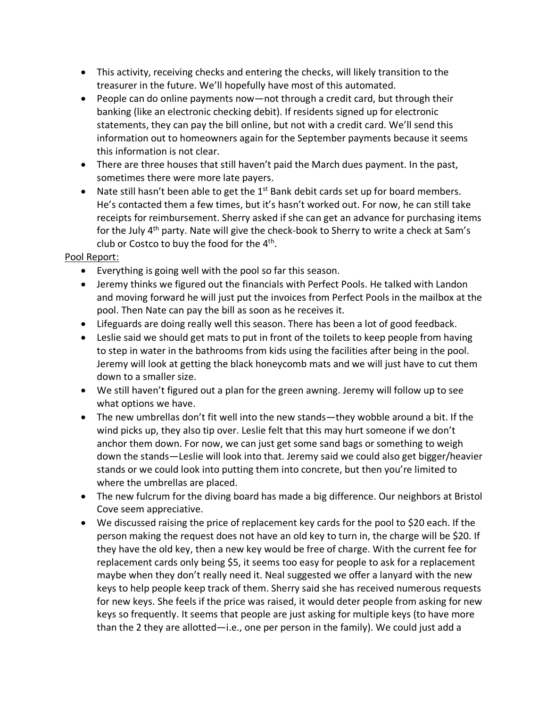- This activity, receiving checks and entering the checks, will likely transition to the treasurer in the future. We'll hopefully have most of this automated.
- People can do online payments now—not through a credit card, but through their banking (like an electronic checking debit). If residents signed up for electronic statements, they can pay the bill online, but not with a credit card. We'll send this information out to homeowners again for the September payments because it seems this information is not clear.
- There are three houses that still haven't paid the March dues payment. In the past, sometimes there were more late payers.
- Nate still hasn't been able to get the  $1<sup>st</sup>$  Bank debit cards set up for board members. He's contacted them a few times, but it's hasn't worked out. For now, he can still take receipts for reimbursement. Sherry asked if she can get an advance for purchasing items for the July 4<sup>th</sup> party. Nate will give the check-book to Sherry to write a check at Sam's club or Costco to buy the food for the 4<sup>th</sup>.

### Pool Report:

- Everything is going well with the pool so far this season.
- Jeremy thinks we figured out the financials with Perfect Pools. He talked with Landon and moving forward he will just put the invoices from Perfect Pools in the mailbox at the pool. Then Nate can pay the bill as soon as he receives it.
- Lifeguards are doing really well this season. There has been a lot of good feedback.
- Leslie said we should get mats to put in front of the toilets to keep people from having to step in water in the bathrooms from kids using the facilities after being in the pool. Jeremy will look at getting the black honeycomb mats and we will just have to cut them down to a smaller size.
- We still haven't figured out a plan for the green awning. Jeremy will follow up to see what options we have.
- The new umbrellas don't fit well into the new stands—they wobble around a bit. If the wind picks up, they also tip over. Leslie felt that this may hurt someone if we don't anchor them down. For now, we can just get some sand bags or something to weigh down the stands—Leslie will look into that. Jeremy said we could also get bigger/heavier stands or we could look into putting them into concrete, but then you're limited to where the umbrellas are placed.
- The new fulcrum for the diving board has made a big difference. Our neighbors at Bristol Cove seem appreciative.
- We discussed raising the price of replacement key cards for the pool to \$20 each. If the person making the request does not have an old key to turn in, the charge will be \$20. If they have the old key, then a new key would be free of charge. With the current fee for replacement cards only being \$5, it seems too easy for people to ask for a replacement maybe when they don't really need it. Neal suggested we offer a lanyard with the new keys to help people keep track of them. Sherry said she has received numerous requests for new keys. She feels if the price was raised, it would deter people from asking for new keys so frequently. It seems that people are just asking for multiple keys (to have more than the 2 they are allotted—i.e., one per person in the family). We could just add a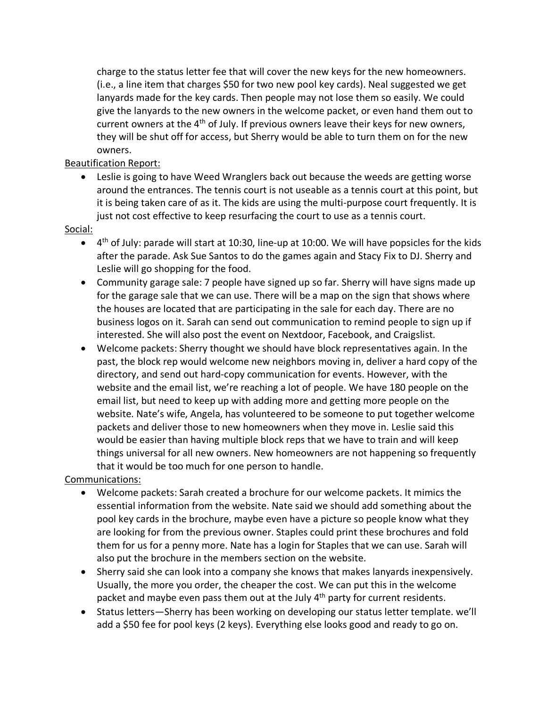charge to the status letter fee that will cover the new keys for the new homeowners. (i.e., a line item that charges \$50 for two new pool key cards). Neal suggested we get lanyards made for the key cards. Then people may not lose them so easily. We could give the lanyards to the new owners in the welcome packet, or even hand them out to current owners at the  $4<sup>th</sup>$  of July. If previous owners leave their keys for new owners, they will be shut off for access, but Sherry would be able to turn them on for the new owners.

#### Beautification Report:

Leslie is going to have Weed Wranglers back out because the weeds are getting worse around the entrances. The tennis court is not useable as a tennis court at this point, but it is being taken care of as it. The kids are using the multi-purpose court frequently. It is just not cost effective to keep resurfacing the court to use as a tennis court.

#### Social:

- $\bullet$  4<sup>th</sup> of July: parade will start at 10:30, line-up at 10:00. We will have popsicles for the kids after the parade. Ask Sue Santos to do the games again and Stacy Fix to DJ. Sherry and Leslie will go shopping for the food.
- Community garage sale: 7 people have signed up so far. Sherry will have signs made up for the garage sale that we can use. There will be a map on the sign that shows where the houses are located that are participating in the sale for each day. There are no business logos on it. Sarah can send out communication to remind people to sign up if interested. She will also post the event on Nextdoor, Facebook, and Craigslist.
- Welcome packets: Sherry thought we should have block representatives again. In the past, the block rep would welcome new neighbors moving in, deliver a hard copy of the directory, and send out hard-copy communication for events. However, with the website and the email list, we're reaching a lot of people. We have 180 people on the email list, but need to keep up with adding more and getting more people on the website. Nate's wife, Angela, has volunteered to be someone to put together welcome packets and deliver those to new homeowners when they move in. Leslie said this would be easier than having multiple block reps that we have to train and will keep things universal for all new owners. New homeowners are not happening so frequently that it would be too much for one person to handle.

### Communications:

- Welcome packets: Sarah created a brochure for our welcome packets. It mimics the essential information from the website. Nate said we should add something about the pool key cards in the brochure, maybe even have a picture so people know what they are looking for from the previous owner. Staples could print these brochures and fold them for us for a penny more. Nate has a login for Staples that we can use. Sarah will also put the brochure in the members section on the website.
- Sherry said she can look into a company she knows that makes lanyards inexpensively. Usually, the more you order, the cheaper the cost. We can put this in the welcome packet and maybe even pass them out at the July 4<sup>th</sup> party for current residents.
- Status letters—Sherry has been working on developing our status letter template. we'll add a \$50 fee for pool keys (2 keys). Everything else looks good and ready to go on.